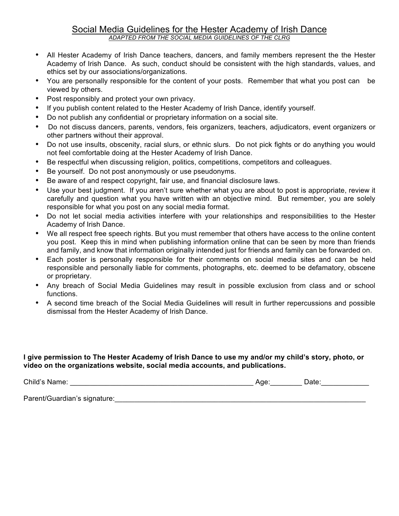## Social Media Guidelines for the Hester Academy of Irish Dance *ADAPTED FROM THE SOCIAL MEDIA GUIDELINES OF THE CLRG*

- All Hester Academy of Irish Dance teachers, dancers, and family members represent the the Hester Academy of Irish Dance. As such, conduct should be consistent with the high standards, values, and ethics set by our associations/organizations.
- You are personally responsible for the content of your posts. Remember that what you post can be viewed by others.
- Post responsibly and protect your own privacy.
- If you publish content related to the Hester Academy of Irish Dance, identify yourself.
- Do not publish any confidential or proprietary information on a social site.
- Do not discuss dancers, parents, vendors, feis organizers, teachers, adjudicators, event organizers or other partners without their approval.
- Do not use insults, obscenity, racial slurs, or ethnic slurs. Do not pick fights or do anything you would not feel comfortable doing at the Hester Academy of Irish Dance.
- Be respectful when discussing religion, politics, competitions, competitors and colleagues.
- Be yourself. Do not post anonymously or use pseudonyms.
- Be aware of and respect copyright, fair use, and financial disclosure laws.
- Use your best judgment. If you aren't sure whether what you are about to post is appropriate, review it carefully and question what you have written with an objective mind. But remember, you are solely responsible for what you post on any social media format.
- Do not let social media activities interfere with your relationships and responsibilities to the Hester Academy of Irish Dance.
- We all respect free speech rights. But you must remember that others have access to the online content you post. Keep this in mind when publishing information online that can be seen by more than friends and family, and know that information originally intended just for friends and family can be forwarded on.
- Each poster is personally responsible for their comments on social media sites and can be held responsible and personally liable for comments, photographs, etc. deemed to be defamatory, obscene or proprietary.
- Any breach of Social Media Guidelines may result in possible exclusion from class and or school functions.
- A second time breach of the Social Media Guidelines will result in further repercussions and possible dismissal from the Hester Academy of Irish Dance.

#### **I give permission to The Hester Academy of Irish Dance to use my and/or my child's story, photo, or video on the organizations website, social media accounts, and publications.**

Child's Name: \_\_\_\_\_\_\_\_\_\_\_\_\_\_\_\_\_\_\_\_\_\_\_\_\_\_\_\_\_\_\_\_\_\_\_\_\_\_\_\_\_\_\_\_\_\_ Age:\_\_\_\_\_\_\_\_ Date:\_\_\_\_\_\_\_\_\_\_\_\_

Parent/Guardian's signature:\_\_\_\_\_\_\_\_\_\_\_\_\_\_\_\_\_\_\_\_\_\_\_\_\_\_\_\_\_\_\_\_\_\_\_\_\_\_\_\_\_\_\_\_\_\_\_\_\_\_\_\_\_\_\_\_\_\_\_\_\_\_\_